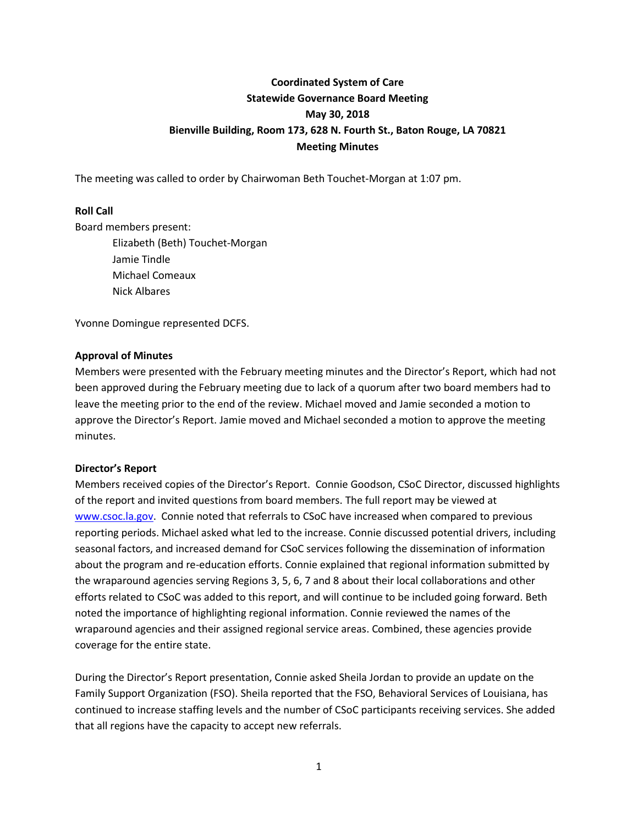# **Coordinated System of Care Statewide Governance Board Meeting May 30, 2018 Bienville Building, Room 173, 628 N. Fourth St., Baton Rouge, LA 70821 Meeting Minutes**

The meeting was called to order by Chairwoman Beth Touchet-Morgan at 1:07 pm.

## **Roll Call**

Board members present:

Elizabeth (Beth) Touchet-Morgan Jamie Tindle Michael Comeaux Nick Albares

Yvonne Domingue represented DCFS.

## **Approval of Minutes**

Members were presented with the February meeting minutes and the Director's Report, which had not been approved during the February meeting due to lack of a quorum after two board members had to leave the meeting prior to the end of the review. Michael moved and Jamie seconded a motion to approve the Director's Report. Jamie moved and Michael seconded a motion to approve the meeting minutes.

### **Director's Report**

Members received copies of the Director's Report. Connie Goodson, CSoC Director, discussed highlights of the report and invited questions from board members. The full report may be viewed at [www.csoc.la.gov.](http://www.csoc.la.gov/) Connie noted that referrals to CSoC have increased when compared to previous reporting periods. Michael asked what led to the increase. Connie discussed potential drivers, including seasonal factors, and increased demand for CSoC services following the dissemination of information about the program and re-education efforts. Connie explained that regional information submitted by the wraparound agencies serving Regions 3, 5, 6, 7 and 8 about their local collaborations and other efforts related to CSoC was added to this report, and will continue to be included going forward. Beth noted the importance of highlighting regional information. Connie reviewed the names of the wraparound agencies and their assigned regional service areas. Combined, these agencies provide coverage for the entire state.

During the Director's Report presentation, Connie asked Sheila Jordan to provide an update on the Family Support Organization (FSO). Sheila reported that the FSO, Behavioral Services of Louisiana, has continued to increase staffing levels and the number of CSoC participants receiving services. She added that all regions have the capacity to accept new referrals.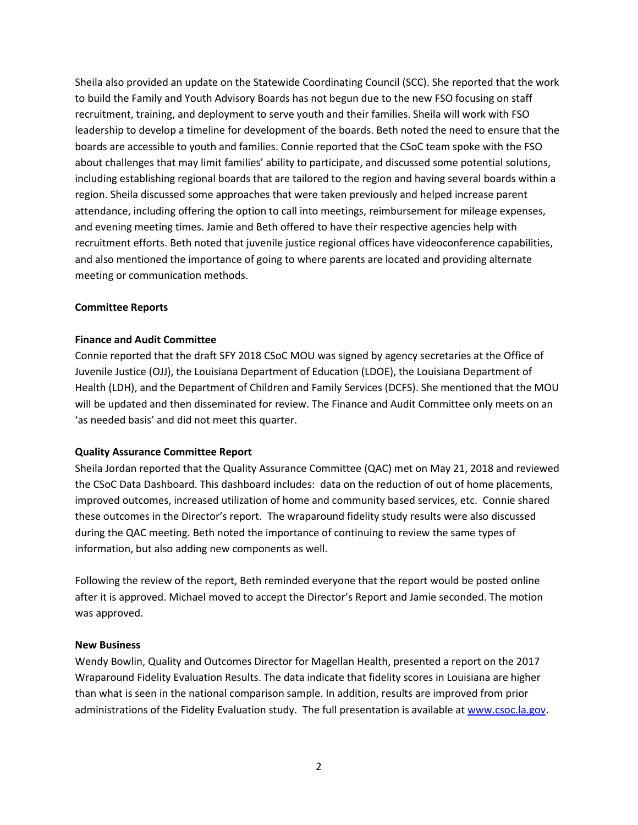Sheila also provided an update on the Statewide Coordinating Council (SCC). She reported that the work to build the Family and Youth Advisory Boards has not begun due to the new FSO focusing on staff recruitment, training, and deployment to serve youth and their families. Sheila will work with FSO leadership to develop a timeline for development of the boards. Beth noted the need to ensure that the boards are accessible to youth and families. Connie reported that the CSoC team spoke with the FSO about challenges that may limit families' ability to participate, and discussed some potential solutions, including establishing regional boards that are tailored to the region and having several boards within a region. Sheila discussed some approaches that were taken previously and helped increase parent attendance, including offering the option to call into meetings, reimbursement for mileage expenses, and evening meeting times. Jamie and Beth offered to have their respective agencies help with recruitment efforts. Beth noted that juvenile justice regional offices have videoconference capabilities, and also mentioned the importance of going to where parents are located and providing alternate meeting or communication methods.

#### **Committee Reports**

#### **Finance and Audit Committee**

Connie reported that the draft SFY 2018 CSoC MOU was signed by agency secretaries at the Office of Juvenile Justice (OJJ), the Louisiana Department of Education (LDOE), the Louisiana Department of Health (LDH), and the Department of Children and Family Services (DCFS). She mentioned that the MOU will be updated and then disseminated for review. The Finance and Audit Committee only meets on an 'as needed basis' and did not meet this quarter.

#### **Quality Assurance Committee Report**

Sheila Jordan reported that the Quality Assurance Committee (QAC) met on May 21, 2018 and reviewed the CSoC Data Dashboard. This dashboard includes: data on the reduction of out of home placements, improved outcomes, increased utilization of home and community based services, etc. Connie shared these outcomes in the Director's report. The wraparound fidelity study results were also discussed during the QAC meeting. Beth noted the importance of continuing to review the same types of information, but also adding new components as well.

Following the review of the report, Beth reminded everyone that the report would be posted online after it is approved. Michael moved to accept the Director's Report and Jamie seconded. The motion was approved.

#### **New Business**

Wendy Bowlin, Quality and Outcomes Director for Magellan Health, presented a report on the 2017 Wraparound Fidelity Evaluation Results. The data indicate that fidelity scores in Louisiana are higher than what is seen in the national comparison sample. In addition, results are improved from prior administrations of the Fidelity Evaluation study. The full presentation is available a[t www.csoc.la.gov.](http://www.csoc.la.gov/)